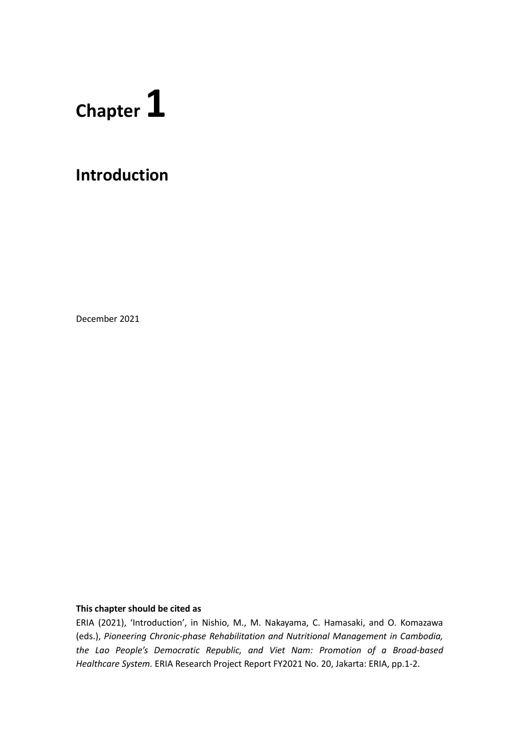# **Chapter 1**

## **Introduction**

December 2021

#### **This chapter should be cited as**

ERIA (2021), 'Introduction', in Nishio, M., M. Nakayama, C. Hamasaki, and O. Komazawa (eds.), *Pioneering Chronic-phase Rehabilitation and Nutritional Management in Cambodia, the Lao People's Democratic Republic, and Viet Nam: Promotion of a Broad-based Healthcare System.* ERIA Research Project Report FY2021 No. 20, Jakarta: ERIA, pp.1-2.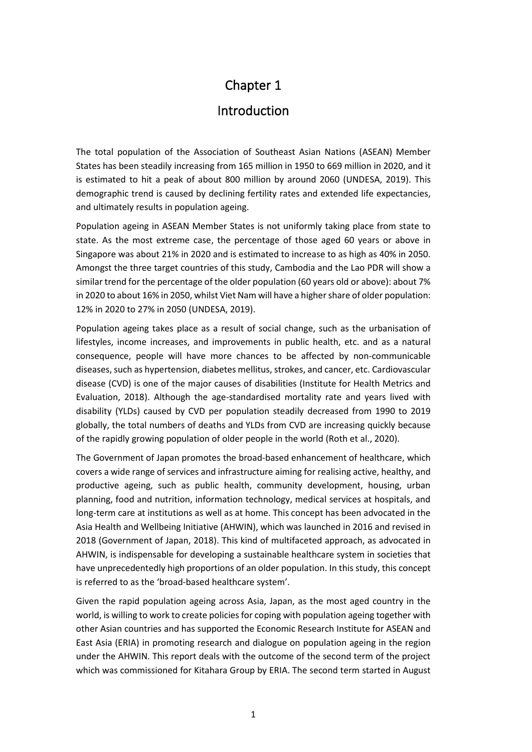## Chapter 1

### Introduction

The total population of the Association of Southeast Asian Nations (ASEAN) Member States has been steadily increasing from 165 million in 1950 to 669 million in 2020, and it is estimated to hit a peak of about 800 million by around 2060 (UNDESA, 2019). This demographic trend is caused by declining fertility rates and extended life expectancies, and ultimately results in population ageing.

Population ageing in ASEAN Member States is not uniformly taking place from state to state. As the most extreme case, the percentage of those aged 60 years or above in Singapore was about 21% in 2020 and is estimated to increase to as high as 40% in 2050. Amongst the three target countries of this study, Cambodia and the Lao PDR will show a similar trend for the percentage of the older population (60 years old or above): about 7% in 2020 to about 16% in 2050, whilst Viet Nam will have a higher share of older population: 12% in 2020 to 27% in 2050 (UNDESA, 2019).

Population ageing takes place as a result of social change, such as the urbanisation of lifestyles, income increases, and improvements in public health, etc. and as a natural consequence, people will have more chances to be affected by non-communicable diseases, such as hypertension, diabetes mellitus, strokes, and cancer, etc. Cardiovascular disease (CVD) is one of the major causes of disabilities (Institute for Health Metrics and Evaluation, 2018). Although the age-standardised mortality rate and years lived with disability (YLDs) caused by CVD per population steadily decreased from 1990 to 2019 globally, the total numbers of deaths and YLDs from CVD are increasing quickly because of the rapidly growing population of older people in the world (Roth et al., 2020).

The Government of Japan promotes the broad-based enhancement of healthcare, which covers a wide range of services and infrastructure aiming for realising active, healthy, and productive ageing, such as public health, community development, housing, urban planning, food and nutrition, information technology, medical services at hospitals, and long-term care at institutions as well as at home. This concept has been advocated in the Asia Health and Wellbeing Initiative (AHWIN), which was launched in 2016 and revised in 2018 (Government of Japan, 2018). This kind of multifaceted approach, as advocated in AHWIN, is indispensable for developing a sustainable healthcare system in societies that have unprecedentedly high proportions of an older population. In this study, this concept is referred to as the 'broad-based healthcare system'.

Given the rapid population ageing across Asia, Japan, as the most aged country in the world, is willing to work to create policies for coping with population ageing together with other Asian countries and has supported the Economic Research Institute for ASEAN and East Asia (ERIA) in promoting research and dialogue on population ageing in the region under the AHWIN. This report deals with the outcome of the second term of the project which was commissioned for Kitahara Group by ERIA. The second term started in August